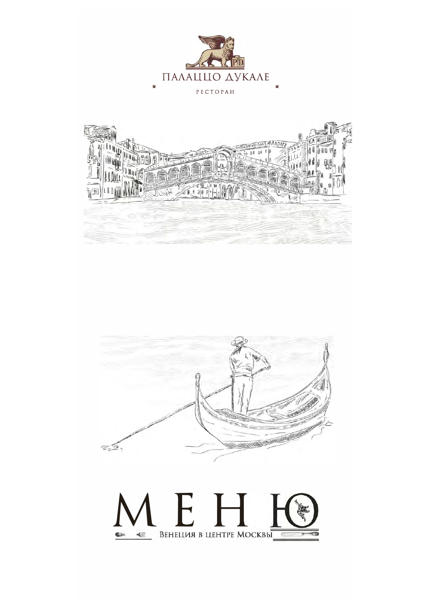





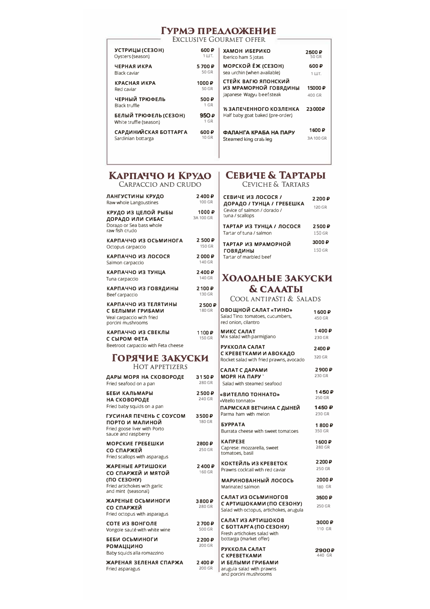### ГУРМЭ ПРЕДЛОЖЕНИЕ

**EXCLUSIVE GOURMET OFFER** 

| УСТРИЦЫ (СЕЗОН)                                 | 600P                         | ХАМОН ИБЕРИКО                    | 2500 ₽       |
|-------------------------------------------------|------------------------------|----------------------------------|--------------|
| Oysters (season)                                | 1 ШТ.                        | Iberico ham 5 lotas              | 50 GR        |
| ЧЕРНАЯ ИКРА                                     | 5700 P                       | <b>МОРСКОЙ ЁЖ (СЕЗОН)</b>        | 600P         |
| Black caviar                                    | 50 GR                        | sea urchin (when available)      | $1 \cup T$ . |
| КРАСНАЯ ИКРА                                    | 1000 ₽                       | СТЕЙК ВАГЮ ЯПОНСКИЙ              | 15000 P      |
| Red caviar                                      | 50 GR                        | ИЗ МРАМОРНОЙ ГОВЯДИНЫ            |              |
| ЧЕРНЫЙ ТРЮФЕЛЬ                                  | 500₽                         | Japanese Wagyu beef-steak        | 400 GR       |
| Black truffle                                   | 1 GR                         | У ЗАПЕЧЕННОГО КОЗЛЕНКА           | 23000P       |
| БЕЛЫЙ ТРЮФЕЛЬ (СЕЗОН)<br>White truffle (season) | 950 $\overline{P}$<br>$1$ GR | Half baby goat baked (pre-order) |              |
| САРДИНИЙСКАЯ БОТТАРГА                           | 600₽                         | ФАЛАНГА КРАБА НА ПАРУ            | 1600 ₽       |
| Sardinian bottarga                              | <b>10 GR</b>                 | Steamed king crab leg            | 3A 100 GR    |

## КАРПАЧЧО И КРУДО

| CARPACCIO AND CRUDO                                                                        |                    |  |
|--------------------------------------------------------------------------------------------|--------------------|--|
| ЛАНГУСТИНЫ КРУДО                                                                           | 2400P              |  |
| Raw whole Langoustines                                                                     | $100$ GR           |  |
| КРУДО ИЗ ЦЕЛОЙ РЫБЫ<br>ДОРАДО ИЛИ СИБАС<br>Dorago or Sea bass whole<br>raw fish crudo      | 1000₽<br>3A 100 GR |  |
| КАРПАЧЧО ИЗ ОСЬМИНОГА                                                                      | 2 500 ₽            |  |
| Octopus carpaccio                                                                          | 150 GR             |  |
| КАРПАЧЧО ИЗ ЛОСОСЯ                                                                         | 2000P              |  |
| Salmon carpaccio                                                                           | 140 GR             |  |
| КАРПАЧЧО ИЗ ТУНЦА                                                                          | 2400P              |  |
| Tuna carpaccio                                                                             | 140 GR             |  |
| КАРПАЧЧО ИЗ ГОВЯДИНЫ                                                                       | 2100₽              |  |
| Beef carpaccio                                                                             | 130 GR             |  |
| КАРПАЧЧО ИЗ ТЕЛЯТИНЫ<br>С БЕЛЫМИ ГРИБАМИ<br>Veal carpaccio with fried<br>porcini mushrooms | 2500₽<br>180 GR    |  |
| КАРПАЧЧО ИЗ СВЕКЛЫ                                                                         | 1100 P             |  |
| С СЫРОМ ФЕТА                                                                               | <b>150 GR</b>      |  |

Beetroot carpaccio with Feta cheese

### ГОРЯЧИЕ ЗАКУСКИ HOT APPETIZERS

| ДАРЫ МОРЯ НА СКОВОРОДЕ<br>Fried seafood on a pan                                                             | 3150P<br>280 GR |
|--------------------------------------------------------------------------------------------------------------|-----------------|
| БЕБИ КАЛЬМАРЫ<br>НА СКОВОРОДЕ<br>Fried baby squids on a pan                                                  | 2500P<br>240 GR |
| ГУСИНАЯ ПЕЧЕНЬ С СОУСОМ<br>ПОРТО И МАЛИНОЙ<br>Fried goose liver with Porto<br>sauce and raspberry            | 3500P<br>180 GR |
| <b>МОРСКИЕ ГРЕБЕШКИ</b><br>СО СПАРЖЕЙ<br>Fried scallops with asparagus                                       | 2800₽<br>250 GR |
| ЖАРЕНЫЕ АРТИШОКИ<br>СО СПАРЖЕЙ И МЯТОЙ<br>(ПО СЕЗОНУ)<br>Fried artichokes with garlic<br>and mint (seasonal) | 2400P<br>160 GR |
| ЖАРЕНЫЕ ОСЬМИНОГИ<br>СО СПАРЖЕЙ<br>Fried octopus with asparagus                                              | 3800₽<br>280 GR |
| СОТЕ ИЗ ВОНГОЛЕ<br>Vongole sauté with white wine                                                             | 2700₽<br>500 GR |
| БЕБИ ОСЬМИНОГИ<br><b>РОМАЦЦИНО</b><br>Baby squids alla romazzino                                             | 2200₽<br>200 GR |
| ЖАРЕНАЯ ЗЕЛЕНАЯ СПАРЖА<br>Fried asparagus                                                                    | 2400P<br>200 GR |

### СЕВИЧЕ & ТАРТАРЫ **CEVICHE & TARTARS**

СЕВИЧЕ ИЗ ЛОСОСЯ /  $2200P$ ДОРАДО / ТУНЦА / ГРЕБЕШКА 120 GR Cevice of salmon / dorado /<br>tuna / scallops ТАРТАР ИЗ ТУНЦА / ЛОСОСЯ 2500₽ Tartar of tuna / salmon 150 GR 3000 $\overline{P}$ ТАРТАР ИЗ МРАМОРНОЙ 150 GR **ГОВЯДИНЫ** Tartar of marbled beef

### ХОЛОДНЫЕ ЗАКУСКИ **& CAAATbI**

COOL ANTIPASTI & SALADS

| I₽<br>Ś.     | ОВОЩНОЙ САЛАТ «ТИНО»<br>Salad Tino: tomatoes, cucumbers,<br>red onion, cilantro                         | 1600 P<br>450 GR |
|--------------|---------------------------------------------------------------------------------------------------------|------------------|
| 2<br>Š.      | <b>МИКС САЛАТ</b><br>Mix salad with parmigiano                                                          | 1400₽<br>230 GR  |
|              | РУККОЛА САЛАТ<br>С КРЕВЕТКАМИ И АВОКАДО<br>Rocket salad with fried prawns, avocado                      | 2400₽<br>320 GR  |
| P<br>Š.      | САЛАТ С ДАРАМИ<br>МОРЯ НА ПАРУ<br>Salad with steamed seafood                                            | 2900₽<br>230 GR  |
| P<br>Š.      | «ВИТЕЛЛО ТОННАТО»<br>«Vitello tonnato»                                                                  | 1450P<br>250 GR  |
| þ            | ПАРМСКАЯ ВЕТЧИНА С ДЫНЕЙ<br>Parma ham with melon                                                        | 1450 ₽<br>230 GR |
| ź.           | <b>БУРРАТА</b><br>Burrata cheese with sweet tomatoes                                                    | 1800₽<br>350 GR  |
| ð<br>Ś.      | <b>КАПРЕЗЕ</b><br>Caprese: mozzarella, sweet<br>tomatoes, basil                                         | 1600 ₽<br>280 GR |
| ₽<br>Ś.      | КОКТЕЙЛЬ ИЗ КРЕВЕТОК<br>Prawns cocktail with red caviar                                                 | 2200₽<br>250 GR  |
|              | МАРИНОВАННЫЙ ЛОСОСЬ<br>Marinated salmon                                                                 | 2000₽<br>180 GR  |
| 2<br>Ş       | САЛАТ ИЗ ОСЬМИНОГОВ<br>С АРТИШОКАМИ (ПО СЕЗОНУ)<br>Salad with octopus, artichokes, arugula              | 3500 P<br>250 GR |
| ₽<br>Š.<br>₽ | САЛАТ ИЗ АРТИШОКОВ<br>С БОТТАРГА (ПО СЕЗОНУ)<br>Fresh artichokes salad with<br>bottarga (market offer)  | 3000₽<br>110 GR  |
| Ś.<br>P<br>Ś | РУККОЛА САЛАТ<br>С КРЕВЕТКАМИ<br>И БЕЛЫМИ ГРИБАМИ<br>arugula salad with prawns<br>and porcini mushrooms | 2900P<br>440 GR  |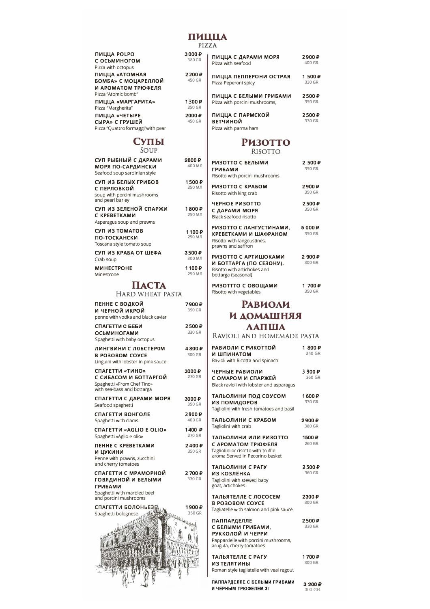# ПИЦЦА

PIZZA

| <b>ПИЦЦА РОLPO</b><br>с осьминогом | 3000P<br>380 GR   |  |
|------------------------------------|-------------------|--|
| Pizza with octopus                 |                   |  |
| ПИЦЦА «АТОМНАЯ                     | 2200 <sub>P</sub> |  |
| <b>БОМБА» С МОЦАРЕЛЛОЙ</b>         | 450 GR            |  |
| И АРОМАТОМ ТРЮФЕЛЯ                 |                   |  |
| Pizza "Atomic bomb"                |                   |  |
| ПИЦЦА «МАРГАРИТА»                  | 1300P             |  |
| Pizza "Margherita"                 | 250 GR            |  |
| ПИЦЦА «ЧЕТЫРЕ                      | 2000 ₽            |  |
| СЫРА» С ГРУШЕЙ                     | 450 GR            |  |
| Pizza "Quattro formaggi" with pear |                   |  |

# СУПЫ

SOUP

| СУП РЫБНЫЙ С ДАРАМИ<br>МОРЯ ПО-САРДИНСКИ<br>Seafood soup sardinian style              | 2800₽<br><b>400 M A</b>      |
|---------------------------------------------------------------------------------------|------------------------------|
| СУП ИЗ БЕЛЫХ ГРИБОВ<br>с перловкой<br>soup with porcini mushrooms<br>and pearl barley | 1500 <sub>P</sub><br>250 МЛ  |
| СУП ИЗ ЗЕЛЕНОЙ СПАРЖИ<br>C KPEBETKAMU<br>Asparagus soup and prawns                    | 1800 ₽<br>250 M/I            |
| СУП ИЗ ТОМАТОВ<br>ПО-ТОСКАНСКИ<br>Toscana style tomato soup                           | 1100P<br>250 M/I             |
| СУП ИЗ КРАБА ОТ ШЕФА<br>Crab soup                                                     | 3500P<br>300 M.A             |
| <b>MUHECTPOHE</b><br>Minestrone                                                       | 1100 <sub>P</sub><br>250 M.Л |

## ПАСТА

### HARD WHEAT PASTA

| ПЕННЕ С ВОДКОЙ<br>И ЧЕРНОЙ ИКРОЙ<br>penne with vodka and black caviar                                                | 7900 P<br>390 GR            |
|----------------------------------------------------------------------------------------------------------------------|-----------------------------|
| СПАГЕТТИ С БЕБИ<br><b>ОСЬМИНОГАМИ</b><br>Spaghetti with baby octopus                                                 | 2500₽<br>320 GR             |
| ЛИНГВИНИ С ЛОБСТЕРОМ<br>В РОЗОВОМ СОУСЕ<br>Linguini with lobster in pink sauce                                       | 4800 <sub>₽</sub><br>300 GR |
| СПАГЕТТИ «ТИНО»<br>С СИБАСОМ И БОТТАРГОЙ<br>Spaghetti «From Chef Tino»<br>with sea-bass and bottarga                 | 3000 <sub>P</sub><br>270 GR |
| СПАГЕТТИ С ДАРАМИ МОРЯ<br>Seafood spaghetti                                                                          | 3000 ₽<br>350 GR            |
| СПАГЕТТИ ВОНГОЛЕ<br>Spaghetti with clams                                                                             | 2900P<br>400 GR             |
| CПАГЕТТИ «AGLIO E OLIO»<br>Spaghetti «Aglio e olio»                                                                  | 1400 ₽<br>270 GR            |
| ПЕННЕ С КРЕВЕТКАМИ<br>и цукини<br>Penne with prawns, zucchini<br>and cherry tomatoes                                 | 2400P<br>350 GR             |
| СПАГЕТТИ С МРАМОРНОЙ<br>ГОВЯДИНОЙ И БЕЛЫМИ<br><b>ГРИБАМИ</b><br>Spaghetti with marbled beef<br>and porcini mushrooms | 2700₽<br>330 GR             |
| СПАГЕТТИ БОЛОНЬЕЗЕ<br>Spaghetti bolognese                                                                            | 1900₽<br>350 GR             |

| ₽      | ПИЦЦА С ДАРАМИ МОРЯ                                         | 2900P           |
|--------|-------------------------------------------------------------|-----------------|
| R      | Pizza with seafood                                          | 400 GR          |
| ₽      | ПИЦЦА ПЕППЕРОНИ ОСТРАЯ                                      | 1500P           |
| R      | Pizza Peperoni spicy                                        | 330 GR          |
| ₽      | ПИЦЦА С БЕЛЫМИ ГРИБАМИ                                      | 2500P           |
| R      | Pizza with porcini mushrooms,                               | 350 GR          |
| ₽<br>R | ПИЦЦА С ПАРМСКОЙ<br><b>ВЕТЧИНОЙ</b><br>Pizza with narma ham | 2500P<br>330 GR |

# **РИЗОТТО**

| <b>RISOTTO</b>                                                                                                          |                   |
|-------------------------------------------------------------------------------------------------------------------------|-------------------|
| РИЗОТТО С БЕЛЫМИ<br><b>ГРИБАМИ</b><br>Risotto with porcini mushrooms                                                    | 2 500 ₽<br>350 GR |
| РИЗОТТО С КРАБОМ<br>Risotto with king crab                                                                              | 2900₽<br>350 GR   |
| ЧЕРНОЕ РИЗОТТО<br>С ДАРАМИ МОРЯ<br>Black seafood risotto                                                                | 2500₽<br>350 GR   |
| РИЗОТТО С ЛАНГУСТИНАМИ,<br>КРЕВЕТКАМИ И ШАФРАНОМ<br>Risotto with langoustines,<br>prawns and saffron                    | 5000P<br>350 GR   |
| РИЗОТТО С АРТИШОКАМИ<br>И БОТТАРГА (ПО СЕЗОНУ).<br>Risotto with artichokes and<br>bottarga (seasonal)                   | 2 900 ₽<br>300 GR |
| РИЗОТТТО С ОВОЩАМИ<br>Risotto with vegetables                                                                           | 1 700 P<br>350 GR |
| <b>РАВИОЛИ</b>                                                                                                          |                   |
| И ДОМАШНЯЯ                                                                                                              |                   |
| <b>ЛАПША</b>                                                                                                            |                   |
| RAVIOLI AND HOMEMADE PASTA                                                                                              |                   |
| РАВИОЛИ С РИКОТТОЙ<br>И ШПИНАТОМ<br>Ravioli with Ricotta and spinach                                                    | 1800 ₽<br>240 GR  |
| ЧЕРНЫЕ РАВИОЛИ<br>С ОМАРОМ И СПАРЖЕЙ<br>Black ravioli with lobster and asparagus                                        | 3 900 ₽<br>260 GR |
| ТАЛЬОЛИНИ ПОД СОУСОМ<br>из помидоров<br>Tagliolini with fresh tomatoes and basil                                        | 1600₽<br>330 GR   |
| ГАЛЬОЛИНИ С КРАБОМ<br>Tagliolini with crab                                                                              | 2900₽<br>380 GR   |
| ТАЛЬОЛИНИ ИЛИ РИЗОТТО<br>С АРОМАТОМ ТРЮФЕЛЯ<br>Tagliolini or risotto with truffle<br>aroma Served in Pecorino basket    | 1500₽<br>260 GR   |
| ТАЛЬОЛИНИ С РАГУ<br>ИЗ КОЗЛЕНКА<br>Tagliolini with stewed baby<br>goat, artichokes                                      | 2500₽<br>360 GR   |
| ТАЛЬЯТЕЛЛЕ С ЛОСОСЕМ<br>В РОЗОВОМ СОУСЕ<br>Tagliatelle with salmon and pink sauce                                       | 2300₽<br>300 GR   |
| ПАППАРДЕЛЛЕ<br>С БЕЛЫМИ ГРИБАМИ.<br>РУККОЛОЙ И ЧЕРРИ<br>Pappardelle with porcini mushrooms,<br>arugula, cherry tomatoes | 2500₽<br>330 GR   |
| ТАЛЬЯТЕЛЛЕ С РАГУ<br>ИЗ ТЕЛЯТИНЫ<br>Roman style tagliatelle with veal ragout                                            | 1700₽<br>300 GR   |

ПАППАРДЕЛЛЕ С БЕЛЫМИ ГРИБАМИ И ЧЕРНЫМ ТРЮФЕЛЕМ 3г

3 200₽ 300 GR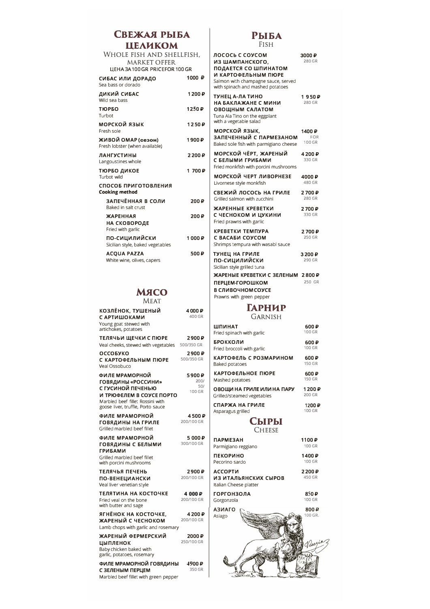# СВЕЖАЯ РЫБА **ЦЕЛИКОМ**

WHOLE FISH AND SHELLFISH, MARKET OFFER<br>LIFHA 34 100 GR PRICEFOR 100 GR

| LIENA SA 100 GR FRICEFOR 100 GR                      |                   |
|------------------------------------------------------|-------------------|
| СИБАС ИЛИ ДОРАДО<br>Sea bass or dorado               | 1000 ₽            |
| ДИКИЙ СИБАС<br>Wild sea hass                         | 1 200 ₽           |
| ТЮРБО<br>Turbot                                      | 1250P             |
| морской язык<br>Fresh sole                           | 1250P             |
| ЖИВОЙ ОМАР (сезон)<br>Fresh lobster (when available) | 1900 <sub>₽</sub> |
| <b>ЛАНГУСТИНЫ</b><br>Langoustines whole              | 2200P             |
| ТЮРБО ДИКОЕ<br>Turbot wild                           | 1 700 ₽           |
| СПОСОБ ПРИГОТОВЛЕНИЯ<br><b>Cooking method</b>        |                   |
| ЗАПЕЧЁННАЯ В СОЛИ<br>Baked in salt crust             | 200₽              |
| <b>ЖАРЕННАЯ</b><br>НА СКОВОРОДЕ<br>Fried with garlic | 200₽              |
| ПО-СИЦИЛИЙСКИ<br>Sicilian style, baked vegetables    | 1000P             |
| <b>ACQUA PAZZA</b><br>White wine, olives, capers     | 500₽              |

### МЯСО **MFAT**

| КОЗЛЁНОК, ТУШЕНЫЙ<br>С АРТИШОКАМИ<br>Young goat stewed with<br>artichokes, potatoes                                                                            | 4000 <sub>₽</sub><br>400 GR     |
|----------------------------------------------------------------------------------------------------------------------------------------------------------------|---------------------------------|
| ТЕЛЯЧЬИ ЩЕЧКИ С ПЮРЕ<br>Veal cheeks, stewed with vegetables                                                                                                    | 2900 <sub>₽</sub><br>500/350 GR |
| ОССОБУКО<br>С КАРТОФЕЛЬНЫМ ПЮРЕ<br>Veal Ossobuco                                                                                                               | 2900P<br>500/350 GR             |
| ФИЛЕ МРАМОРНОЙ<br>ГОВЯДИНЫ «РОССИНИ»<br>С ГУСИНОЙ ПЕЧЕНЬЮ<br>И ТРЮФЕЛЕМ В СОУСЕ ПОРТО<br>Marbled beef fillet Rossini with<br>goose liver, truffle, Porto sauce | 5900 P<br>200/<br>50/<br>100 GR |
| ФИЛЕ МРАМОРНОЙ<br>ГОВЯДИНЫ НА ГРИЛЕ<br>Grilled marbled beef fillet                                                                                             | 4500₽<br>200/100 GR             |
| ФИЛЕ МРАМОРНОЙ<br>ГОВЯДИНЫ С БЕЛЫМИ<br><b>ГРИБАМИ</b><br>Grilled marbled beef fillet<br>with porcini mushrooms                                                 | 5000P<br>300/100 GR             |
| ТЕЛЯЧЬЯ ПЕЧЕНЬ<br>ПО-ВЕНЕЦИАНСКИ<br>Veal liver venetian style                                                                                                  | 2900₽<br>200/100 GR             |
| ТЕЛЯТИНА НА КОСТОЧКЕ<br>Fried yeal on the bone<br>with butter and sage                                                                                         | 4 000₽<br>200/100 GR            |
| ЯГНЁНОК НА КОСТОЧКЕ.<br>ЖАРЕНЫЙ С ЧЕСНОКОМ<br>Lamb chops with garlic and rosemary                                                                              | 4200₽<br>200/100 GR             |
| ЖАРЕНЫЙ ФЕРМЕРСКИЙ<br><b>ЦЫПЛЕНОК</b><br>Baby chicken baked with<br>garlic, potatoes, rosemary                                                                 | 2000₽<br>250/100 GR             |
| ФИЛЕ МРАМОРНОЙ ГОВЯДИНЫ<br>С ЗЕЛЕНЫМ ПЕРЦЕМ<br>Marbled beef fillet with green pepper                                                                           | 4900₽<br>350 GR                 |

# **РЫБА**

| FISH                                                                                                                                                         |                                |  |  |
|--------------------------------------------------------------------------------------------------------------------------------------------------------------|--------------------------------|--|--|
| ЛОСОСЬ С СОУСОМ<br>ИЗ ШАМПАНСКОГО,<br>ПОДАЕТСЯ СО ШПИНАТОМ<br>И КАРТОФЕЛЬНЫМ ПЮРЕ<br>Salmon with champagne sauce, served<br>with spinach and mashed potatoes | 3000₽<br>280 GR                |  |  |
| ТУНЕЦ А-ЛА ТИНО<br>НА БАКЛАЖАНЕ С МИНИ<br><b>ОВОЩНЫМ САЛАТОМ</b><br>Tuna Ala Tino on the eggplant<br>with a vegetable salad                                  | 1950₽<br>280 GR                |  |  |
| морской язык,<br>ЗАПЕЧЕННЫЙ С ПАРМЕЗАНОМ<br>Baked sole fish with parmigiano cheese                                                                           | 1400 ₽<br><b>FOR</b><br>100 GR |  |  |
| МОРСКОЙ ЧЁРТ, ЖАРЕНЫЙ<br>С БЕЛЫМИ ГРИБАМИ<br>Fried monkfish with porcini mushrooms                                                                           | 4200P<br>330 GR                |  |  |
| МОРСКОЙ ЧЕРТ ЛИВОРНЕЗЕ<br>Livornese style monkfish                                                                                                           | 4000₽<br>480 GR                |  |  |
| СВЕЖИЙ ЛОСОСЬ НА ГРИЛЕ<br>Grilled salmon with zucchini                                                                                                       | 2700 <sub>P</sub><br>280 GR    |  |  |
| ЖАРЕННЫЕ КРЕВЕТКИ<br>С ЧЕСНОКОМ И ЦУКИНИ<br>Fried prawns with garlic                                                                                         | 2700₽<br>330 GR                |  |  |
| КРЕВЕТКИ ТЕМПУРА<br>С ВАСАБИ СОУСОМ<br>Shrimps tempura with wasabl sauce                                                                                     | 2700₽<br>250 GR                |  |  |
| ТУНЕЦ НА ГРИЛЕ<br>по-сицилийски<br>Sicilian style grilled tuna                                                                                               | 3200₽<br>290 GR                |  |  |
| ЖАРЕНЫЕ КРЕВЕТКИ С ЗЕЛЕНЫМ<br>ПЕРЦЕМ-ГОРОШКОМ<br>В СЛИВОЧНОМ СОУСЕ<br>Prawns with green pepper                                                               | 2800P<br>250 GR                |  |  |
| ГАРНИР                                                                                                                                                       |                                |  |  |
| Garnish                                                                                                                                                      |                                |  |  |
| ШПИНАТ<br>Fried spinach with garlic                                                                                                                          | 600P<br>100 GR                 |  |  |
| <b>БРОККОЛИ</b><br>Fried broccoli with garlic                                                                                                                | 600₽<br>100 GR                 |  |  |
| КАРТОФЕЛЬ С РОЗМАРИНОМ<br>Baked potatoes                                                                                                                     | 600₽<br>150 GR                 |  |  |
| КАРТОФЕЛЬНОЕ ПЮРЕ<br>Mashed potatoes                                                                                                                         | 600₽<br>150 GR                 |  |  |
| ОВОЩИ НА ГРИЛЕ ИЛИ НА ПАРУ<br>Grilled/steamed vegetables                                                                                                     | 1200₽<br>200 GR                |  |  |
| СПАРЖА НА ГРИЛЕ<br>Asparagus grilled                                                                                                                         | 1200₽<br>100 GR                |  |  |
| Сыры<br><b>CHEESE</b>                                                                                                                                        |                                |  |  |
| <b>ПАРМЕЗАН</b><br>Parmigiano reggiano                                                                                                                       | 1100₽<br>100 GR                |  |  |
| <b>ПЕКОРИНО</b><br>Pecorino sardo                                                                                                                            | 1400₽<br>100 GR                |  |  |
| <b>ACCOPTIO</b><br>ИЗ ИТАЛЬЯНСКИХ СЫРОВ<br>Italian Cheese platter                                                                                            | 2200₽<br>450 GR                |  |  |
| <b>ГОРГОНЗОЛА</b><br>Gorgonzola                                                                                                                              | 850₽<br>100 GR                 |  |  |
| <b>АЗИАГО</b><br>Asiago                                                                                                                                      | 800₽<br>100 GR.                |  |  |
|                                                                                                                                                              | Vine                           |  |  |
|                                                                                                                                                              |                                |  |  |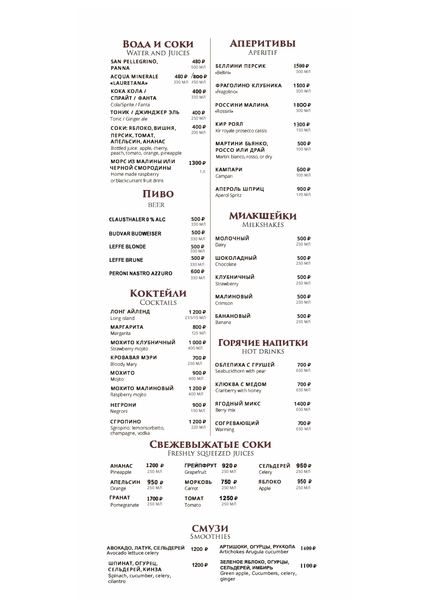# **BOAA M COKM**<br>WATER AND **JUICES**

| VYALER AIND JUIULU                                                                                                              |                                   |
|---------------------------------------------------------------------------------------------------------------------------------|-----------------------------------|
| SAN PELLEGRINO.<br><b>PANNA</b>                                                                                                 | 480₽<br>500 M.D                   |
| <b>ACQUA MINERALE</b><br>«LAURETANA»                                                                                            | $450P$ 800 $P$<br>330 M J 750 M J |
| КОКА КОЛА /<br>СПРАЙТ / ФАНТА<br>Cola/Sprite / Fanta                                                                            | 400₽<br>330 M/I                   |
| ТОНИК / ДЖИНДЖЕР ЭЛЬ<br>Tonic / Ginger ale                                                                                      | 400₽<br>250 M/I                   |
| СОКИ: ЯБЛОКО, ВИШНЯ,<br>ПЕРСИК, ТОМАТ,<br>АПЕЛЬСИН, АНАНАС<br>Bottled juice: apple, cherry,<br>peach, tomato, orange, pineapple | 400₽<br>200 M/I                   |
| МОРС ИЗ МАЛИНЫ ИЛИ<br>ЧЕРНОЙ СМОРОДИНЫ<br>Home made raspberry<br>or blackcurrant fruit drink                                    | 1300₽<br>$1 \pi$                  |

## Пиво

**BEER** 

| <b>CLAUSTHALER 0 % ALC</b> | 500₽<br><b>RM033</b> |
|----------------------------|----------------------|
| <b>BUDVAR BUDWEISER</b>    | 500₽<br>330 M J      |
| <b>LEFFE BLONDE</b>        | 500₽<br>330 M/I      |
| <b>LEFFE BRUNE</b>         | 500₽                 |
|                            | 330 M J              |
| PERONI NASTRO AZZURO       | 600₽                 |
|                            | 330 M A              |

# **КОКТЕЙЛИ**

| ЛОНГ АЙЛЕНД             | 1 200 ₽    |
|-------------------------|------------|
| Long island             | 235/15 M/I |
| <b>МАРГАРИТА</b>        | 800₽       |
| Margarita               | 125 МЛ     |
| мохито клубничный       | 1 000 ₽    |
| Strawberry mojito       | 400 МЛ     |
| КРОВАВАЯ МЭРИ           | 700₽       |
| Bloody Mary             | 250 M/I    |
| мохито                  | 900₽       |
| Mojito                  | 400 МЛ     |
| МОХИТО МАЛИНОВЫЙ        | 1200₽      |
| Raspberry mojito        | 400 МЛ     |
| <b>НЕГРОНИ</b>          | 900₽       |
| Negroni                 | 150 МЛ     |
| СГРОПИНО                | 1 200 ₽    |
| Caranina: Iamancarhatta | 220 M A    |

Spropino: lemonsorbetto, 220 MJ<br>champagne, vodka

### **АПЕРИТИВЫ** APERITIF

| БЕЛЛИНИ ПЕРСИК                                                     | $1500 \, \text{P}$ |
|--------------------------------------------------------------------|--------------------|
| «Bellini»                                                          | RM 005             |
| ФРАГОЛИНО КЛУБНИКА                                                 | 1500₽              |
| «Fragolino»                                                        | 300 M/I            |
| РОССИНИ МАЛИНА                                                     | 1800₽              |
| «Rossini»                                                          | 300 M/I            |
| кир роял                                                           | 1300₽              |
| Kir royale prosecco cassis                                         | 150 МЛ             |
| МАРТИНИ БЬЯНКО,<br>РОССО ИЛИ ДРАЙ<br>Martini bianco, rosso, or dry | 500₽<br>100 МЛ     |
| <b>КАМПАРИ</b>                                                     | 600₽               |
| Campari                                                            | 100 МЛ             |
| АПЕРОЛЬ ШПРИЦ                                                      | 900₽               |
| <b>Aperol Spritz</b>                                               | 170 МЛ             |

# **МИЛКШЕЙКИ**

MILKSHAKES

| молочный         | 500 P   |
|------------------|---------|
| Dairy            | 250 M/I |
| ШОКОЛАДНЫЙ       | 500₽    |
| Chocolate        | 250 M/I |
| клубничный       | 500 P   |
| Strawberry       | 250 M/I |
| <b>МАЛИНОВЫЙ</b> | 500₽    |
| Crimson          | 250 M/I |
| <b>БАНАНОВЫЙ</b> | 500 P   |
| Banana           | 250 M/I |

### **ГОРЯЧИЕ НАПИТКИ** HOT DRINKS

| ОБЛЕПИХА С ГРУШЕЙ<br>Seabuckthorn with pear | 700₽<br>650 МЛ  |
|---------------------------------------------|-----------------|
| КЛЮКВА С МЕДОМ<br>Cranberry with honey      | 700₽<br>650 МЛ  |
| ягодный микс<br>Berry mix                   | 1400₽<br>650 МЛ |
| <b>СОГРЕВАЮЩИЙ</b><br>Warming               | 700₽<br>650 МЛ  |

# СВЕЖЕВЫЖАТЫЕ СОКИ

FRESHLY SQUEEZED JUICES

| <b>AHAHAC</b>                       | 1200₽            | <b>ГРЕЙПФРУТ</b>       | 920P            | <b>СЕЛЬДЕРЕЙ</b> | 950P           |
|-------------------------------------|------------------|------------------------|-----------------|------------------|----------------|
| Pineapple                           | 250 M/I          | Grapefruit             | 250 МЛ          | Celery           | 250 МЛ         |
| <b>АПЕЛЬСИН</b>                     | 950₽             | <b>МОРКОВЬ</b>         | 750₽            | ЯБЛОКО           | 950 $\sqrt{ }$ |
| Orange                              | 250 МЛ           | Carrot                 | 250 МЛ          | Apple            | 250 МЛ         |
| <b><i>FPAHAT</i></b><br>Pomegranate | 1700₽<br>250 M/I | <b>TOMAT</b><br>Tomato | 1250₽<br>250 МЛ |                  |                |

### СМУЗИ SMOOTHIES

| АВОКАДО, ЛАТУК, СЕЛЬДЕРЕЙ<br>Avocado lettuce celery                           | 1200 ₽ | АРТИШОКИ, ОГУРЦЫ, РУККОЛА<br>Artichokes Arugula cucumber                                  | 1400P |
|-------------------------------------------------------------------------------|--------|-------------------------------------------------------------------------------------------|-------|
| ШПИНАТ, ОГУРЕЦ,<br>СЕЛЬДЕРЕЙ, КИНЗА<br>Spinach, cucumber, celery,<br>cilantro | 1200₽  | ЗЕЛЕНОЕ ЯБЛОКО, ОГУРЦЫ,<br>СЕЛЬДЕРЕЙ, ИМБИРЬ<br>Green apple, Cucumbers, celery,<br>ginger | 1100P |